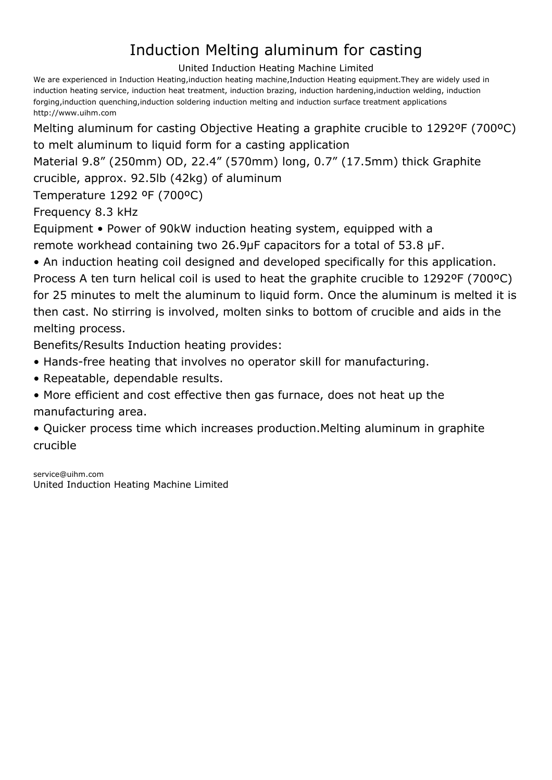## Induction Melting aluminum for casting

United Induction Heating Machine Limited

We are experienced in Induction Heating,induction heating machine,Induction Heating equipment.They are widely used in induction heating service, induction heat treatment, induction brazing, induction hardening,induction welding, induction forging,induction quenching,induction soldering induction melting and induction surface treatment applications <http://www.uihm.com>

Melting aluminum for casting Objective Heating a graphite crucible to 1292ºF (700ºC) to melt aluminum to liquid form for a casting application

Material 9.8" (250mm) OD, 22.4" (570mm) long, 0.7" (17.5mm) thick Graphite

crucible, approx. 92.5lb (42kg) of aluminum

Temperature 1292 ºF (700ºC)

Frequency 8.3 kHz

Equipment • Power of 90kW induction heating system, equipped with a remote workhead containing two 26.9μF capacitors for a total of 53.8 μF.

• An induction heating coil designed and developed specifically for this application.

Process A ten turn helical coil is used to heat the graphite crucible to 1292ºF (700ºC) for 25 minutes to melt the aluminum to liquid form. Once the aluminum is melted it is then cast. No stirring is involved, molten sinks to bottom of crucible and aids in the melting process.

Benefits/Results Induction heating provides:

- Hands-free heating that involves no operator skill for manufacturing.
- Repeatable, dependable results.

• More efficient and cost effective then gas furnace, does not heat up the manufacturing area.

• Quicker process time which increases production.Melting aluminum in graphite crucible

[service@uihm.com](mailto:service@uihm.com) [United Induction Heating Machine Limited](http://www.uihm.com)